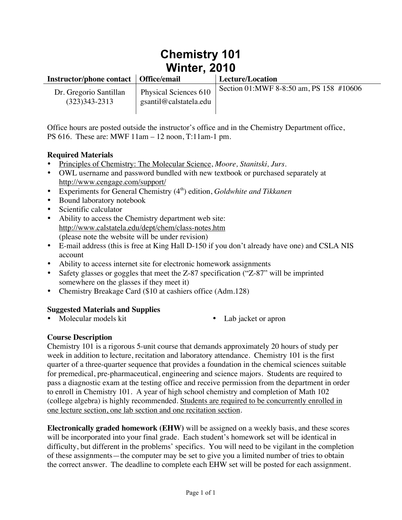# **Chemistry 101 Winter, 2010**

| Instructor/phone contact   Office/email     |                                                 | Lecture/Location                        |
|---------------------------------------------|-------------------------------------------------|-----------------------------------------|
| Dr. Gregorio Santillan<br>$(323)343 - 2313$ | Physical Sciences 610<br>gsantil@calstatela.edu | Section 01:MWF 8-8:50 am, PS 158 #10606 |

Office hours are posted outside the instructor's office and in the Chemistry Department office, PS 616. These are: MWF 11am – 12 noon, T:11am-1 pm.

## **Required Materials**

- Principles of Chemistry: The Molecular Science, *Moore, Stanitski, Jurs.*
- OWL username and password bundled with new textbook or purchased separately at http://www.cengage.com/support/
- Experiments for General Chemistry (4<sup>th</sup>) edition, *Goldwhite and Tikkanen*
- Bound laboratory notebook
- Scientific calculator
- Ability to access the Chemistry department web site: http://www.calstatela.edu/dept/chem/class-notes.htm (please note the website will be under revision)
- E-mail address (this is free at King Hall D-150 if you don't already have one) and CSLA NIS account
- Ability to access internet site for electronic homework assignments
- Safety glasses or goggles that meet the Z-87 specification ("Z-87" will be imprinted somewhere on the glasses if they meet it)
- Chemistry Breakage Card (\$10 at cashiers office (Adm.128)

## **Suggested Materials and Supplies**

- - Lab jacket or apron

## **Course Description**

Chemistry 101 is a rigorous 5-unit course that demands approximately 20 hours of study per week in addition to lecture, recitation and laboratory attendance. Chemistry 101 is the first quarter of a three-quarter sequence that provides a foundation in the chemical sciences suitable for premedical, pre-pharmaceutical, engineering and science majors. Students are required to pass a diagnostic exam at the testing office and receive permission from the department in order to enroll in Chemistry 101. A year of high school chemistry and completion of Math 102 (college algebra) is highly recommended. Students are required to be concurrently enrolled in one lecture section, one lab section and one recitation section.

**Electronically graded homework (EHW)** will be assigned on a weekly basis, and these scores will be incorporated into your final grade. Each student's homework set will be identical in difficulty, but different in the problems' specifics. You will need to be vigilant in the completion of these assignments—the computer may be set to give you a limited number of tries to obtain the correct answer. The deadline to complete each EHW set will be posted for each assignment.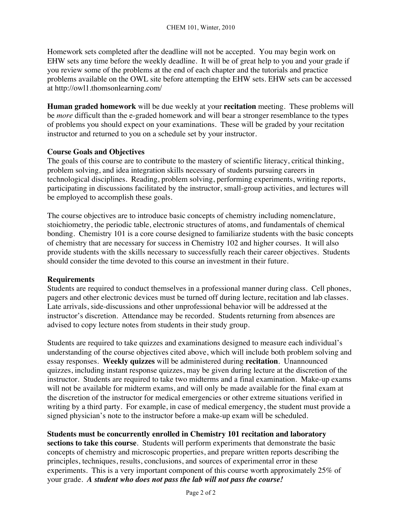Homework sets completed after the deadline will not be accepted. You may begin work on EHW sets any time before the weekly deadline. It will be of great help to you and your grade if you review some of the problems at the end of each chapter and the tutorials and practice problems available on the OWL site before attempting the EHW sets. EHW sets can be accessed at http://owl1.thomsonlearning.com/

**Human graded homework** will be due weekly at your **recitation** meeting. These problems will be *more* difficult than the e-graded homework and will bear a stronger resemblance to the types of problems you should expect on your examinations. These will be graded by your recitation instructor and returned to you on a schedule set by your instructor.

## **Course Goals and Objectives**

The goals of this course are to contribute to the mastery of scientific literacy, critical thinking, problem solving, and idea integration skills necessary of students pursuing careers in technological disciplines. Reading, problem solving, performing experiments, writing reports, participating in discussions facilitated by the instructor, small-group activities, and lectures will be employed to accomplish these goals.

The course objectives are to introduce basic concepts of chemistry including nomenclature, stoichiometry, the periodic table, electronic structures of atoms, and fundamentals of chemical bonding. Chemistry 101 is a core course designed to familiarize students with the basic concepts of chemistry that are necessary for success in Chemistry 102 and higher courses. It will also provide students with the skills necessary to successfully reach their career objectives. Students should consider the time devoted to this course an investment in their future.

#### **Requirements**

Students are required to conduct themselves in a professional manner during class. Cell phones, pagers and other electronic devices must be turned off during lecture, recitation and lab classes. Late arrivals, side-discussions and other unprofessional behavior will be addressed at the instructor's discretion. Attendance may be recorded. Students returning from absences are advised to copy lecture notes from students in their study group.

Students are required to take quizzes and examinations designed to measure each individual's understanding of the course objectives cited above, which will include both problem solving and essay responses. **Weekly quizzes** will be administered during **recitation**. Unannounced quizzes, including instant response quizzes, may be given during lecture at the discretion of the instructor. Students are required to take two midterms and a final examination. Make-up exams will not be available for midterm exams, and will only be made available for the final exam at the discretion of the instructor for medical emergencies or other extreme situations verified in writing by a third party. For example, in case of medical emergency, the student must provide a signed physician's note to the instructor before a make-up exam will be scheduled.

#### **Students must be concurrently enrolled in Chemistry 101 recitation and laboratory**

**sections to take this course**. Students will perform experiments that demonstrate the basic concepts of chemistry and microscopic properties, and prepare written reports describing the principles, techniques, results, conclusions, and sources of experimental error in these experiments. This is a very important component of this course worth approximately 25% of your grade. *A student who does not pass the lab will not pass the course!*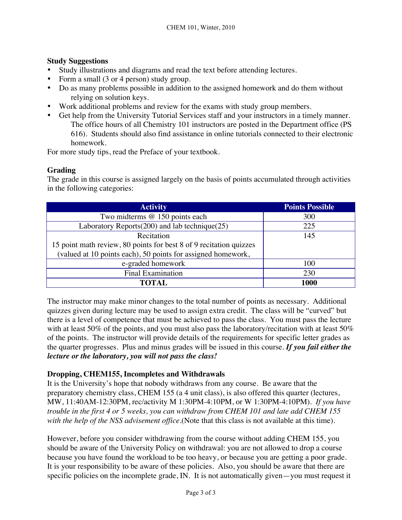## **Study Suggestions**

- Study illustrations and diagrams and read the text before attending lectures.
- Form a small (3 or 4 person) study group.
- Do as many problems possible in addition to the assigned homework and do them without relying on solution keys.
- Work additional problems and review for the exams with study group members.
- Get help from the University Tutorial Services staff and your instructors in a timely manner. The office hours of all Chemistry 101 instructors are posted in the Department office (PS 616). Students should also find assistance in online tutorials connected to their electronic homework.

For more study tips, read the Preface of your textbook.

## **Grading**

The grade in this course is assigned largely on the basis of points accumulated through activities in the following categories:

| <b>Activity</b>                                                    | <b>Points Possible</b> |
|--------------------------------------------------------------------|------------------------|
| Two midterms @ 150 points each                                     | 300                    |
| Laboratory Reports(200) and lab technique(25)                      | 225                    |
| Recitation                                                         | 145                    |
| 15 point math review, 80 points for best 8 of 9 recitation quizzes |                        |
| (valued at 10 points each), 50 points for assigned homework,       |                        |
| e-graded homework                                                  | 100                    |
| <b>Final Examination</b>                                           | 230                    |
| TOTAL.                                                             | 1000                   |

The instructor may make minor changes to the total number of points as necessary. Additional quizzes given during lecture may be used to assign extra credit. The class will be "curved" but there is a level of competence that must be achieved to pass the class. You must pass the lecture with at least 50% of the points, and you must also pass the laboratory/recitation with at least 50% of the points. The instructor will provide details of the requirements for specific letter grades as the quarter progresses. Plus and minus grades will be issued in this course. *If you fail either the lecture or the laboratory, you will not pass the class!*

## **Dropping, CHEM155, Incompletes and Withdrawals**

It is the University's hope that nobody withdraws from any course. Be aware that the preparatory chemistry class, CHEM 155 (a 4 unit class), is also offered this quarter (lectures, MW, 11:40AM-12:30PM, rec/activity M 1:30PM-4:10PM, or W 1:30PM-4:10PM). *If you have trouble in the first 4 or 5 weeks, you can withdraw from CHEM 101 and late add CHEM 155 with the help of the NSS advisement office*.(Note that this class is not available at this time).

However, before you consider withdrawing from the course without adding CHEM 155, you should be aware of the University Policy on withdrawal: you are not allowed to drop a course because you have found the workload to be too heavy, or because you are getting a poor grade. It is your responsibility to be aware of these policies. Also, you should be aware that there are specific policies on the incomplete grade, IN. It is not automatically given—you must request it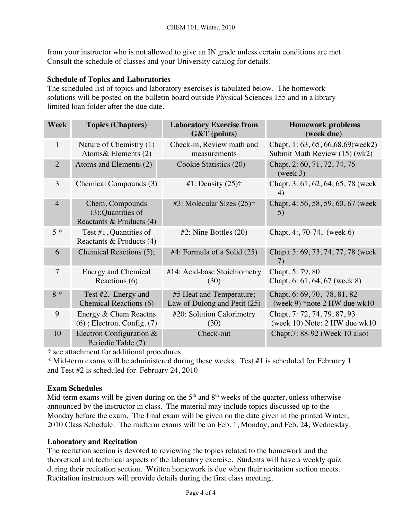from your instructor who is not allowed to give an IN grade unless certain conditions are met. Consult the schedule of classes and your University catalog for details.

## **Schedule of Topics and Laboratories**

The scheduled list of topics and laboratory exercises is tabulated below. The homework solutions will be posted on the bulletin board outside Physical Sciences 155 and in a library limited loan folder after the due date.

| <b>Week</b>    | <b>Topics (Chapters)</b>                                             | <b>Laboratory Exercise from</b><br><b>G&amp;T</b> (points) | <b>Homework problems</b><br>(week due)                                |
|----------------|----------------------------------------------------------------------|------------------------------------------------------------|-----------------------------------------------------------------------|
| $\mathbf{1}$   | Nature of Chemistry (1)<br>Atoms & Elements $(2)$                    | Check-in, Review math and<br>measurements                  | Chapt. 1: 63, 65, 66, 68, 69 (week2)<br>Submit Math Review (15) (wk2) |
| 2              | Atoms and Elements (2)                                               | Cookie Statistics (20)                                     | Chapt. 2: 60, 71, 72, 74, 75<br>(week 3)                              |
| 3              | Chemical Compounds (3)                                               | #1: Density $(25)$ †                                       | Chapt. 3: 61, 62, 64, 65, 78 (week)<br>4)                             |
| $\overline{4}$ | Chem. Compounds<br>$(3)$ ; Quantities of<br>Reactants & Products (4) | #3: Molecular Sizes $(25)$ †                               | Chapt. 4: 56, 58, 59, 60, 67 (week)<br>5)                             |
| $5 *$          | Test $#1$ , Quantities of<br>Reactants & Products (4)                | $#2$ : Nine Bottles $(20)$                                 | Chapt. 4:, 70-74, (week 6)                                            |
| 6              | Chemical Reactions (5);                                              | $#4$ : Formula of a Solid (25)                             | Chap.t 5: 69, 73, 74, 77, 78 (week<br>7)                              |
| $\overline{7}$ | <b>Energy and Chemical</b><br>Reactions (6)                          | #14: Acid-base Stoichiometry<br>(30)                       | Chapt. 5: 79, 80<br>Chapt. 6: 61, 64, 67 (week 8)                     |
| $8 *$          | Test #2. Energy and<br><b>Chemical Reactions (6)</b>                 | #5 Heat and Temperature;<br>Law of Dulong and Petit (25)   | Chapt. 6: 69, 70, 78, 81, 82<br>(week 9) *note 2 HW due $wk10$        |
| 9              | Energy & Chem Reactns<br>$(6)$ ; Electron. Config. $(7)$             | #20: Solution Calorimetry<br>(30)                          | Chapt. 7: 72, 74, 79, 87, 93<br>(week 10) Note: 2 HW due wk10         |
| 10             | Electron Configuration &<br>Periodic Table (7)                       | Check-out                                                  | Chapt.7: 88-92 (Week 10 also)                                         |

† see attachment for additional procedures

\* Mid-term exams will be administered during these weeks. Test #1 is scheduled for February 1 and Test #2 is scheduled for February 24, 2010

#### **Exam Schedules**

Mid-term exams will be given during on the  $5<sup>th</sup>$  and  $8<sup>th</sup>$  weeks of the quarter, unless otherwise announced by the instructor in class. The material may include topics discussed up to the Monday before the exam. The final exam will be given on the date given in the printed Winter, 2010 Class Schedule. The midterm exams will be on Feb. 1, Monday, and Feb. 24, Wednesday.

#### **Laboratory and Recitation**

The recitation section is devoted to reviewing the topics related to the homework and the theoretical and technical aspects of the laboratory exercise. Students will have a weekly quiz during their recitation section. Written homework is due when their recitation section meets. Recitation instructors will provide details during the first class meeting.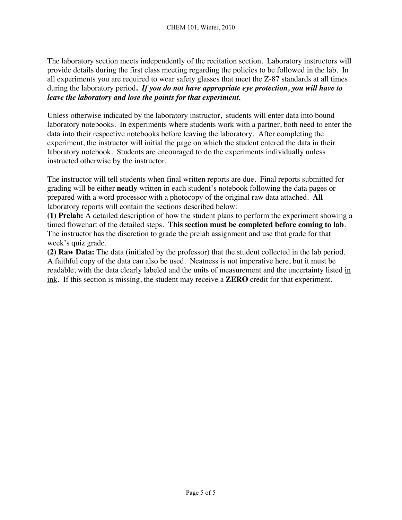The laboratory section meets independently of the recitation section. Laboratory instructors will provide details during the first class meeting regarding the policies to be followed in the lab. In all experiments you are required to wear safety glasses that meet the Z-87 standards at all times during the laboratory period**.** *If you do not have appropriate eye protection, you will have to leave the laboratory and lose the points for that experiment.* 

Unless otherwise indicated by the laboratory instructor, students will enter data into bound laboratory notebooks. In experiments where students work with a partner, both need to enter the data into their respective notebooks before leaving the laboratory. After completing the experiment, the instructor will initial the page on which the student entered the data in their laboratory notebook. Students are encouraged to do the experiments individually unless instructed otherwise by the instructor.

The instructor will tell students when final written reports are due. Final reports submitted for grading will be either **neatly** written in each student's notebook following the data pages or prepared with a word processor with a photocopy of the original raw data attached. **All** laboratory reports will contain the sections described below:

**(1) Prelab:** A detailed description of how the student plans to perform the experiment showing a timed flowchart of the detailed steps. **This section must be completed before coming to lab**. The instructor has the discretion to grade the prelab assignment and use that grade for that week's quiz grade.

**(2) Raw Data:** The data (initialed by the professor) that the student collected in the lab period. A faithful copy of the data can also be used. Neatness is not imperative here, but it must be readable, with the data clearly labeled and the units of measurement and the uncertainty listed in ink. If this section is missing, the student may receive a **ZERO** credit for that experiment.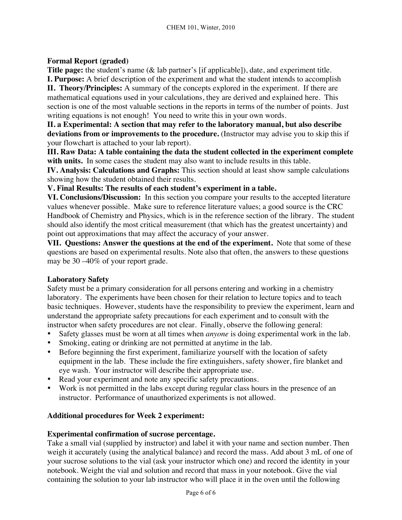## **Formal Report (graded)**

**Title page:** the student's name (& lab partner's [if applicable]), date, and experiment title. **I. Purpose:** A brief description of the experiment and what the student intends to accomplish

**II. Theory/Principles:** A summary of the concepts explored in the experiment. If there are mathematical equations used in your calculations, they are derived and explained here. This section is one of the most valuable sections in the reports in terms of the number of points. Just writing equations is not enough! You need to write this in your own words.

**II. a Experimental: A section that may refer to the laboratory manual, but also describe**  deviations from or improvements to the procedure. (Instructor may advise you to skip this if your flowchart is attached to your lab report).

**III. Raw Data: A table containing the data the student collected in the experiment complete**  with units. In some cases the student may also want to include results in this table.

**IV. Analysis: Calculations and Graphs:** This section should at least show sample calculations showing how the student obtained their results.

**V. Final Results: The results of each student's experiment in a table.**

**VI. Conclusions/Discussion:** In this section you compare your results to the accepted literature values whenever possible. Make sure to reference literature values; a good source is the CRC Handbook of Chemistry and Physics, which is in the reference section of the library. The student should also identify the most critical measurement (that which has the greatest uncertainty) and point out approximations that may affect the accuracy of your answer.

**VII. Questions: Answer the questions at the end of the experiment.** Note that some of these questions are based on experimental results. Note also that often, the answers to these questions may be 30 –40% of your report grade.

#### **Laboratory Safety**

Safety must be a primary consideration for all persons entering and working in a chemistry laboratory. The experiments have been chosen for their relation to lecture topics and to teach basic techniques. However, students have the responsibility to preview the experiment, learn and understand the appropriate safety precautions for each experiment and to consult with the instructor when safety procedures are not clear. Finally, observe the following general:

- Safety glasses must be worn at all times when *anyone* is doing experimental work in the lab.
- Smoking, eating or drinking are not permitted at anytime in the lab.
- Before beginning the first experiment, familiarize yourself with the location of safety equipment in the lab. These include the fire extinguishers, safety shower, fire blanket and eye wash. Your instructor will describe their appropriate use.
- Read your experiment and note any specific safety precautions.
- Work is not permitted in the labs except during regular class hours in the presence of an instructor. Performance of unauthorized experiments is not allowed.

#### **Additional procedures for Week 2 experiment:**

#### **Experimental confirmation of sucrose percentage.**

Take a small vial (supplied by instructor) and label it with your name and section number. Then weigh it accurately (using the analytical balance) and record the mass. Add about 3 mL of one of your sucrose solutions to the vial (ask your instructor which one) and record the identity in your notebook. Weight the vial and solution and record that mass in your notebook. Give the vial containing the solution to your lab instructor who will place it in the oven until the following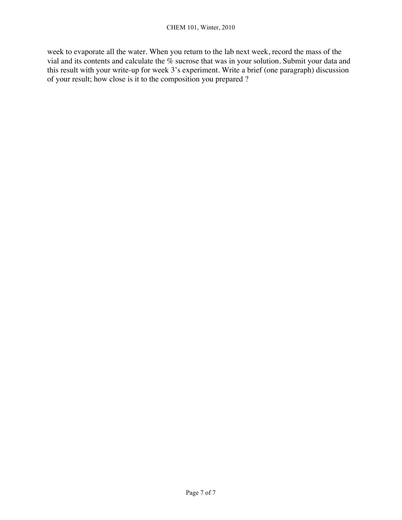week to evaporate all the water. When you return to the lab next week, record the mass of the vial and its contents and calculate the % sucrose that was in your solution. Submit your data and this result with your write-up for week 3's experiment. Write a brief (one paragraph) discussion of your result; how close is it to the composition you prepared ?